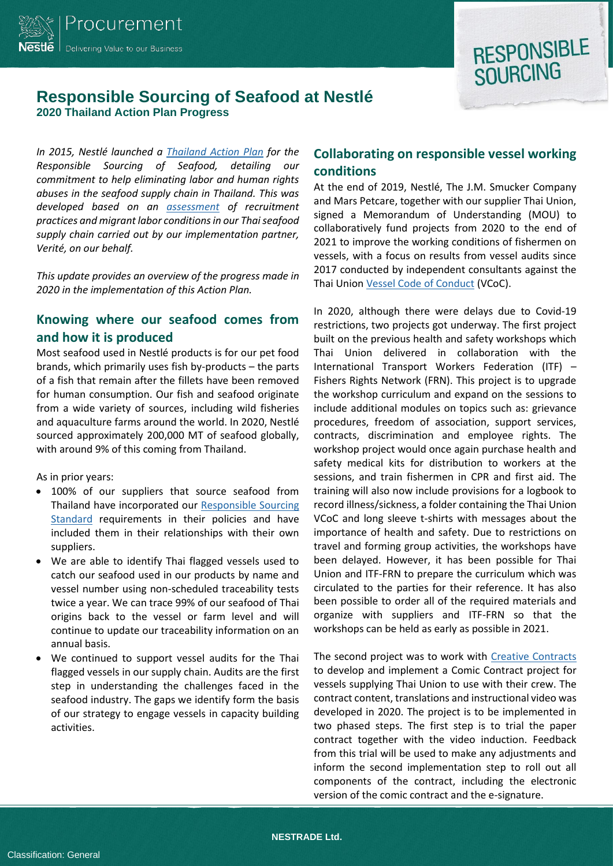



## **Responsible Sourcing of Seafood at Nestlé 2020 Thailand Action Plan Progress**

*In 2015, Nestlé launched a Thailand [Action Plan](https://www.nestle.com/asset-library/documents/library/documents/corporate_social_responsibility/nestle-seafood-action-plan-thailand-2015-2016.pdf) for the Responsible Sourcing of Seafood, detailing our commitment to help eliminating labor and human rights abuses in the seafood supply chain in Thailand. This was developed based on an [assessment](https://www.verite.org/wp-content/uploads/2016/11/NestleReport-ThaiShrimp_prepared-by-Verite.pdf) of recruitment practices and migrant labor conditions in our Thai seafood supply chain carried out by our implementation partner, Verité, on our behalf.* 

*This update provides an overview of the progress made in 2020 in the implementation of this Action Plan.* 

### **Knowing where our seafood comes from and how it is produced**

Most seafood used in Nestlé products is for our pet food brands, which primarily uses fish by-products – the parts of a fish that remain after the fillets have been removed for human consumption. Our fish and seafood originate from a wide variety of sources, including wild fisheries and aquaculture farms around the world. In 2020, Nestlé sourced approximately 200,000 MT of seafood globally, with around 9% of this coming from Thailand.

As in prior years:

- 100% of our suppliers that source seafood from Thailand have incorporated our [Responsible Sourcing](https://www.nestle.com/sites/default/files/asset-library/documents/library/documents/suppliers/nestle-responsible-sourcing-standard-english.pdf)  [Standard](https://www.nestle.com/sites/default/files/asset-library/documents/library/documents/suppliers/nestle-responsible-sourcing-standard-english.pdf) requirements in their policies and have included them in their relationships with their own suppliers.
- We are able to identify Thai flagged vessels used to catch our seafood used in our products by name and vessel number using non-scheduled traceability tests twice a year. We can trace 99% of our seafood of Thai origins back to the vessel or farm level and will continue to update our traceability information on an annual basis.
- We continued to support vessel audits for the Thai flagged vessels in our supply chain. Audits are the first step in understanding the challenges faced in the seafood industry. The gaps we identify form the basis of our strategy to engage vessels in capacity building activities.

## **Collaborating on responsible vessel working conditions**

At the end of 2019, Nestlé, The J.M. Smucker Company and Mars Petcare, together with our supplier Thai Union, signed a Memorandum of Understanding (MOU) to collaboratively fund projects from 2020 to the end of 2021 to improve the working conditions of fishermen on vessels, with a focus on results from vessel audits since 2017 conducted by independent consultants against the Thai Unio[n Vessel Code of Conduct](https://www.thaiunion.com/files/download/sustainability/20171222-tu-vessel-code-of-conduct-en.pdf) (VCoC).

In 2020, although there were delays due to Covid-19 restrictions, two projects got underway. The first project built on the previous health and safety workshops which Thai Union delivered in collaboration with the International Transport Workers Federation (ITF) – Fishers Rights Network (FRN). This project is to upgrade the workshop curriculum and expand on the sessions to include additional modules on topics such as: grievance procedures, freedom of association, support services, contracts, discrimination and employee rights. The workshop project would once again purchase health and safety medical kits for distribution to workers at the sessions, and train fishermen in CPR and first aid. The training will also now include provisions for a logbook to record illness/sickness, a folder containing the Thai Union VCoC and long sleeve t-shirts with messages about the importance of health and safety. Due to restrictions on travel and forming group activities, the workshops have been delayed. However, it has been possible for Thai Union and ITF-FRN to prepare the curriculum which was circulated to the parties for their reference. It has also been possible to order all of the required materials and organize with suppliers and ITF-FRN so that the workshops can be held as early as possible in 2021.

The second project was to work with [Creative Contracts](https://creative-contracts.com/) to develop and implement a Comic Contract project for vessels supplying Thai Union to use with their crew. The contract content, translations and instructional video was developed in 2020. The project is to be implemented in two phased steps. The first step is to trial the paper contract together with the video induction. Feedback from this trial will be used to make any adjustments and inform the second implementation step to roll out all components of the contract, including the electronic version of the comic contract and the e-signature.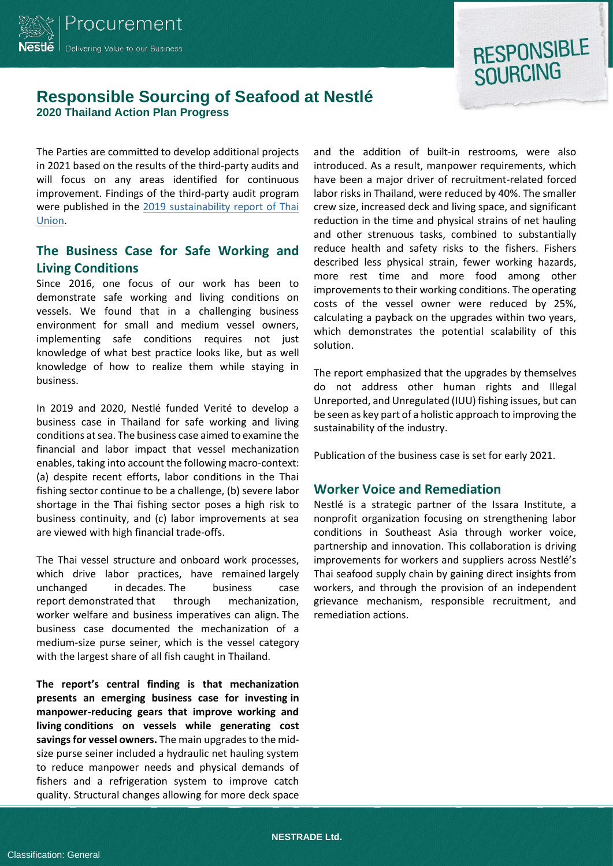

## **RESPONSIBLE SOURCING**

## **Responsible Sourcing of Seafood at Nestlé 2020 Thailand Action Plan Progress**

The Parties are committed to develop additional projects in 2021 based on the results of the third-party audits and will focus on any areas identified for continuous improvement. Findings of the third-party audit program were published in the 2019 [sustainability report of Thai](https://www.thaiunion.com/en/sustainability/report)  [Union.](https://www.thaiunion.com/en/sustainability/report)

### **The Business Case for Safe Working and Living Conditions**

Since 2016, one focus of our work has been to demonstrate safe working and living conditions on vessels. We found that in a challenging business environment for small and medium vessel owners, implementing safe conditions requires not just knowledge of what best practice looks like, but as well knowledge of how to realize them while staying in business.

In 2019 and 2020, Nestlé funded Verité to develop a business case in Thailand for safe working and living conditions at sea. The business case aimed to examine the financial and labor impact that vessel mechanization enables, taking into account the following macro-context: (a) despite recent efforts, labor conditions in the Thai fishing sector continue to be a challenge, (b) severe labor shortage in the Thai fishing sector poses a high risk to business continuity, and (c) labor improvements at sea are viewed with high financial trade-offs.

The Thai vessel structure and onboard work processes, which drive labor practices, have remained largely unchanged in decades. The business case report demonstrated that through mechanization, worker welfare and business imperatives can align. The business case documented the mechanization of a medium-size purse seiner, which is the vessel category with the largest share of all fish caught in Thailand.

**The report's central finding is that mechanization presents an emerging business case for investing in manpower-reducing gears that improve working and living conditions on vessels while generating cost savings for vessel owners.** The main upgrades to the midsize purse seiner included a hydraulic net hauling system to reduce manpower needs and physical demands of fishers and a refrigeration system to improve catch quality. Structural changes allowing for more deck space

and the addition of built-in restrooms, were also introduced. As a result, manpower requirements, which have been a major driver of recruitment-related forced labor risks in Thailand, were reduced by 40%. The smaller crew size, increased deck and living space, and significant reduction in the time and physical strains of net hauling and other strenuous tasks, combined to substantially reduce health and safety risks to the fishers. Fishers described less physical strain, fewer working hazards, more rest time and more food among other improvements to their working conditions. The operating costs of the vessel owner were reduced by 25%, calculating a payback on the upgrades within two years, which demonstrates the potential scalability of this solution.

The report emphasized that the upgrades by themselves do not address other human rights and Illegal Unreported, and Unregulated (IUU) fishing issues, but can be seen as key part of a holistic approach to improving the sustainability of the industry.

Publication of the business case is set for early 2021.

#### **Worker Voice and Remediation**

Nestlé is a strategic partner of the Issara Institute, a nonprofit organization focusing on strengthening labor conditions in Southeast Asia through worker voice, partnership and innovation. This collaboration is driving improvements for workers and suppliers across Nestlé's Thai seafood supply chain by gaining direct insights from workers, and through the provision of an independent grievance mechanism, responsible recruitment, and remediation actions.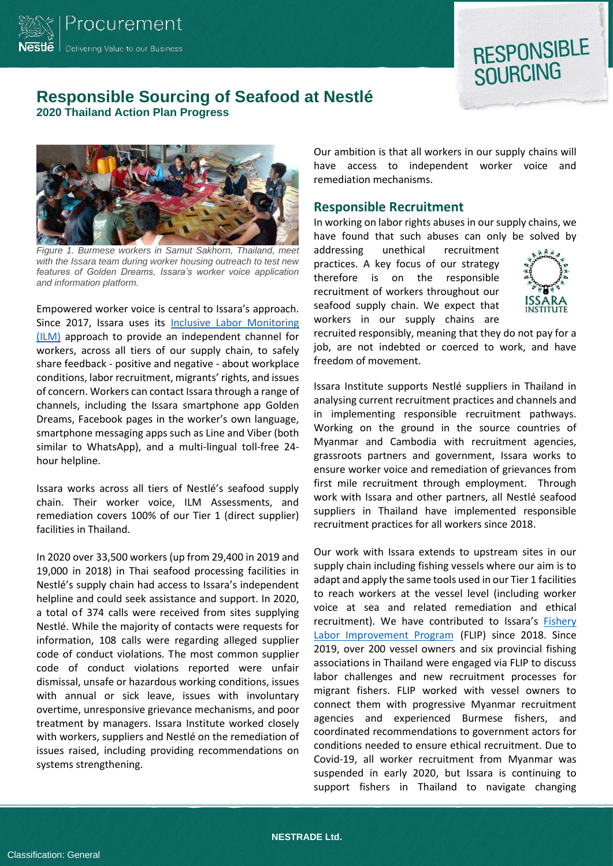

## **RESPONSIBLE SOURCING**

### **Responsible Sourcing of Seafood at Nestlé 2020 Thailand Action Plan Progress**



*Figure 1. Burmese workers in Samut Sakhorn, Thailand, meet with the Issara team during worker housing outreach to test new features of Golden Dreams, Issara's worker voice application and information platform.*

Empowered worker voice is central to Issara's approach. Since 2017, Issara uses its [Inclusive Labor Monitoring](https://www.issarainstitute.org/inclusive-labour-monitoring)  [\(ILM\)](https://www.issarainstitute.org/inclusive-labour-monitoring) approach to provide an independent channel for workers, across all tiers of our supply chain, to safely share feedback - positive and negative - about workplace conditions, labor recruitment, migrants' rights, and issues of concern. Workers can contact Issara through a range of channels, including the Issara smartphone app Golden Dreams, Facebook pages in the worker's own language, smartphone messaging apps such as Line and Viber (both similar to WhatsApp), and a multi-lingual toll-free 24 hour helpline.

Issara works across all tiers of Nestlé's seafood supply chain. Their worker voice, ILM Assessments, and remediation covers 100% of our Tier 1 (direct supplier) facilities in Thailand.

In 2020 over 33,500 workers (up from 29,400 in 2019 and 19,000 in 2018) in Thai seafood processing facilities in Nestlé's supply chain had access to Issara's independent helpline and could seek assistance and support. In 2020, a total of 374 calls were received from sites supplying Nestlé. While the majority of contacts were requests for information, 108 calls were regarding alleged supplier code of conduct violations. The most common supplier code of conduct violations reported were unfair dismissal, unsafe or hazardous working conditions, issues with annual or sick leave, issues with involuntary overtime, unresponsive grievance mechanisms, and poor treatment by managers. Issara Institute worked closely with workers, suppliers and Nestlé on the remediation of issues raised, including providing recommendations on systems strengthening.

Our ambition is that all workers in our supply chains will have access to independent worker voice and remediation mechanisms.

#### **Responsible Recruitment**

In working on labor rights abuses in our supply chains, we have found that such abuses can only be solved by

addressing unethical recruitment practices. A key focus of our strategy therefore is on the responsible recruitment of workers throughout our seafood supply chain. We expect that workers in our supply chains are



recruited responsibly, meaning that they do not pay for a job, are not indebted or coerced to work, and have freedom of movement.

Issara Institute supports Nestlé suppliers in Thailand in analysing current recruitment practices and channels and in implementing responsible recruitment pathways. Working on the ground in the source countries of Myanmar and Cambodia with recruitment agencies, grassroots partners and government, Issara works to ensure worker voice and remediation of grievances from first mile recruitment through employment. Through work with Issara and other partners, all Nestlé seafood suppliers in Thailand have implemented responsible recruitment practices for all workers since 2018.

Our work with Issara extends to upstream sites in our supply chain including fishing vessels where our aim is to adapt and apply the same tools used in our Tier 1 facilities to reach workers at the vessel level (including worker voice at sea and related remediation and ethical recruitment). We have contributed to Issara's [Fishery](https://www.issarainstitute.org/issara-flip) [Labor Improvement Program](https://www.issarainstitute.org/issara-flip) (FLIP) since 2018. Since 2019, over 200 vessel owners and six provincial fishing associations in Thailand were engaged via FLIP to discuss labor challenges and new recruitment processes for migrant fishers. FLIP worked with vessel owners to connect them with progressive Myanmar recruitment agencies and experienced Burmese fishers, and coordinated recommendations to government actors for conditions needed to ensure ethical recruitment. Due to Covid-19, all worker recruitment from Myanmar was suspended in early 2020, but Issara is continuing to support fishers in Thailand to navigate changing